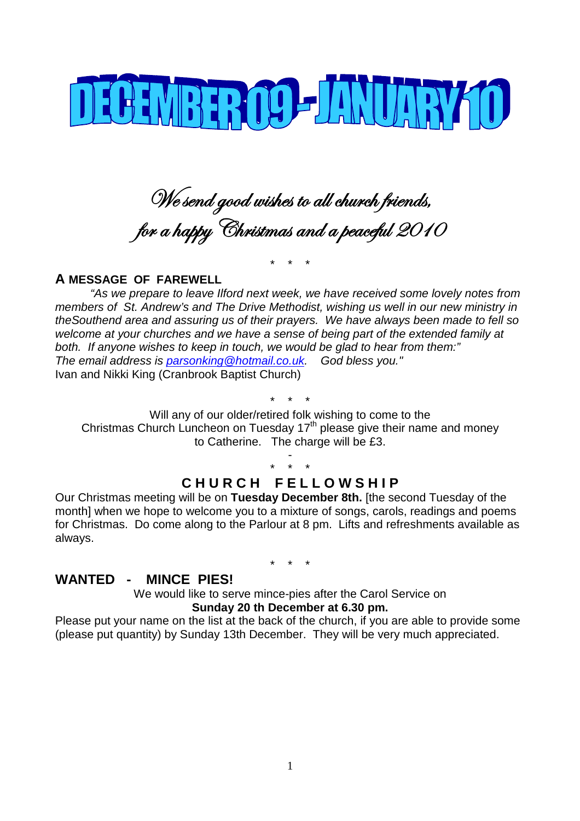

We send good wishes to all church friends, for a happy Christmas and a peaceful 2010

\* \* \*

#### **A MESSAGE OF FAREWELL**

*"As we prepare to leave Ilford next week, we have received some lovely notes from members of St. Andrew's and The Drive Methodist, wishing us well in our new ministry in theSouthend area and assuring us of their prayers. We have always been made to fell so welcome at your churches and we have a sense of being part of the extended family at both. If anyone wishes to keep in touch, we would be glad to hear from them:" The email address is parsonking@hotmail.co.uk. God bless you."* Ivan and Nikki King (Cranbrook Baptist Church)

\* \* \* Will any of our older/retired folk wishing to come to the Christmas Church Luncheon on Tuesday  $17<sup>th</sup>$  please give their name and money to Catherine. The charge will be £3.

> \* \* \* **C H U R C H F E L L O W S H I P**

-

Our Christmas meeting will be on **Tuesday December 8th.** [the second Tuesday of the month] when we hope to welcome you to a mixture of songs, carols, readings and poems for Christmas. Do come along to the Parlour at 8 pm. Lifts and refreshments available as always.

\* \* \*

#### **WANTED - MINCE PIES!**

We would like to serve mince-pies after the Carol Service on **Sunday 20 th December at 6.30 pm.**

Please put your name on the list at the back of the church, if you are able to provide some (please put quantity) by Sunday 13th December. They will be very much appreciated.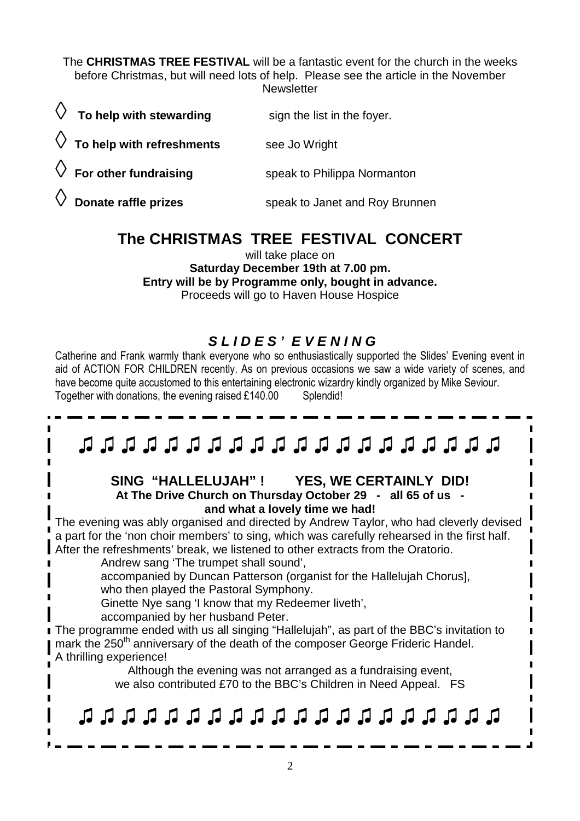The **CHRISTMAS TREE FESTIVAL** will be a fantastic event for the church in the weeks before Christmas, but will need lots of help. Please see the article in the November **Newsletter** 

| $\Diamond$ To help with stewarding   | sign the list in the foyer.    |
|--------------------------------------|--------------------------------|
| $\Diamond$ To help with refreshments | see Jo Wright                  |
| $\Diamond$ For other fundraising     | speak to Philippa Normanton    |
| $\Diamond$ Donate raffle prizes      | speak to Janet and Roy Brunnen |

# **The CHRISTMAS TREE FESTIVAL CONCERT**

will take place on

**Saturday December 19th at 7.00 pm. Entry will be by Programme only, bought in advance.**

Proceeds will go to Haven House Hospice

# *S L I D E S ' E V E N I N G*

Catherine and Frank warmly thank everyone who so enthusiastically supported the Slides' Evening event in aid of ACTION FOR CHILDREN recently. As on previous occasions we saw a wide variety of scenes, and have become quite accustomed to this entertaining electronic wizardry kindly organized by Mike Seviour. Together with donations, the evening raised £140.00 Splendid!

# ♫ ♫ ♫ ♫ ♫ ♫ ♫ ♫ ♫ ♫ ♫ ♫ ♫ ♫ ♫ ♫ ♫ ♫ ♫ ♫

#### **SING "HALLELUJAH" ! YES, WE CERTAINLY DID! At The Drive Church on Thursday October 29 - all 65 of us and what a lovely time we had!**

The evening was ably organised and directed by Andrew Taylor, who had cleverly devised a part for the 'non choir members' to sing, which was carefully rehearsed in the first half. After the refreshments' break, we listened to other extracts from the Oratorio.

Andrew sang 'The trumpet shall sound',

accompanied by Duncan Patterson (organist for the Hallelujah Chorus], who then played the Pastoral Symphony.

Ginette Nye sang 'I know that my Redeemer liveth',

accompanied by her husband Peter.

The programme ended with us all singing "Hallelujah", as part of the BBC's invitation to mark the 250<sup>th</sup> anniversary of the death of the composer George Frideric Handel. A thrilling experience!

Although the evening was not arranged as a fundraising event, we also contributed £70 to the BBC's Children in Need Appeal. FS

# ♫ ♫ ♫ ♫ ♫ ♫ ♫ ♫ ♫ ♫ ♫ ♫ ♫ ♫ ♫ ♫ ♫ ♫ ♫ ♫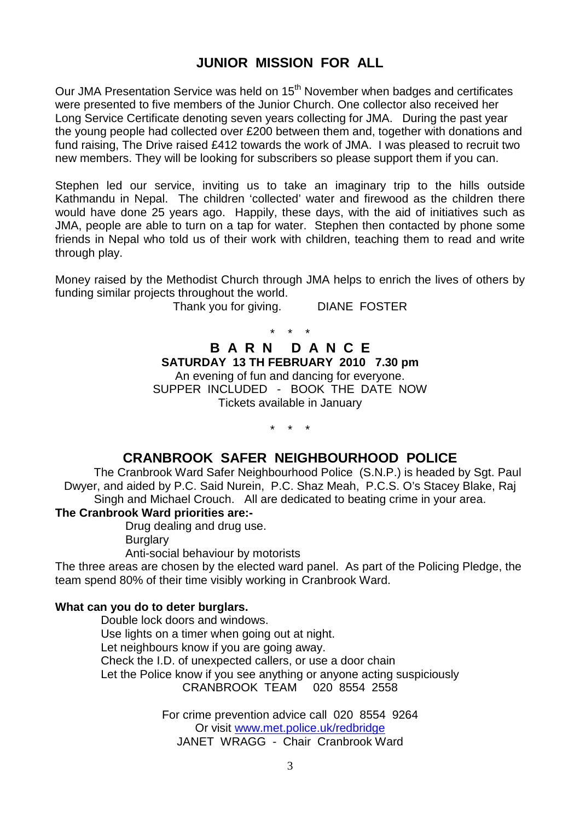## **JUNIOR MISSION FOR ALL**

Our JMA Presentation Service was held on 15<sup>th</sup> November when badges and certificates were presented to five members of the Junior Church. One collector also received her Long Service Certificate denoting seven years collecting for JMA. During the past year the young people had collected over £200 between them and, together with donations and fund raising, The Drive raised £412 towards the work of JMA. I was pleased to recruit two new members. They will be looking for subscribers so please support them if you can.

Stephen led our service, inviting us to take an imaginary trip to the hills outside Kathmandu in Nepal. The children 'collected' water and firewood as the children there would have done 25 years ago. Happily, these days, with the aid of initiatives such as JMA, people are able to turn on a tap for water. Stephen then contacted by phone some friends in Nepal who told us of their work with children, teaching them to read and write through play.

Money raised by the Methodist Church through JMA helps to enrich the lives of others by funding similar projects throughout the world.

Thank you for giving. DIANE FOSTER

#### \* \* \* **B A R N D A N C E SATURDAY 13 TH FEBRUARY 2010 7.30 pm** An evening of fun and dancing for everyone.

SUPPER INCLUDED - BOOK THE DATE NOW Tickets available in January

\* \* \*

### **CRANBROOK SAFER NEIGHBOURHOOD POLICE**

The Cranbrook Ward Safer Neighbourhood Police (S.N.P.) is headed by Sgt. Paul Dwyer, and aided by P.C. Said Nurein, P.C. Shaz Meah, P.C.S. O's Stacey Blake, Raj Singh and Michael Crouch. All are dedicated to beating crime in your area.

**The Cranbrook Ward priorities are:-**

Drug dealing and drug use.

**Burglary** 

Anti-social behaviour by motorists

The three areas are chosen by the elected ward panel. As part of the Policing Pledge, the team spend 80% of their time visibly working in Cranbrook Ward.

#### **What can you do to deter burglars.**

Double lock doors and windows. Use lights on a timer when going out at night. Let neighbours know if you are going away. Check the I.D. of unexpected callers, or use a door chain Let the Police know if you see anything or anyone acting suspiciously CRANBROOK TEAM 020 8554 2558

> For crime prevention advice call 020 8554 9264 Or visit www.met.police.uk/redbridge JANET WRAGG - Chair Cranbrook Ward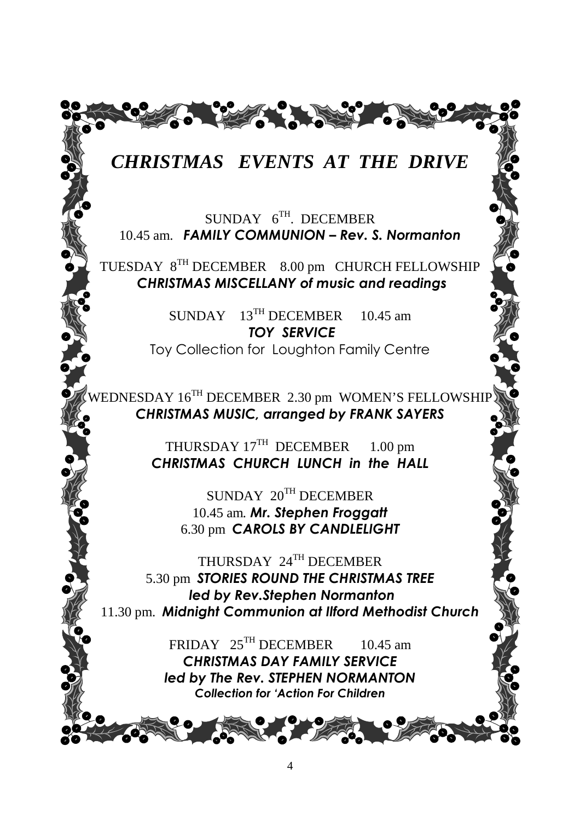

# *CHRISTMAS EVENTS AT THE DRIVE*

SUNDAY  $6^{TH}$ . DECEMBER 10.45 am. *FAMILY COMMUNION – Rev. S. Normanton*

TUESDAY 8TH DECEMBER 8.00 pm CHURCH FELLOWSHIP *CHRISTMAS MISCELLANY of music and readings*

> SUNDAY 13<sup>TH</sup> DECEMBER 10.45 am *TOY SERVICE* Toy Collection for Loughton Family Centre

WEDNESDAY 16<sup>TH</sup> DECEMBER 2.30 pm WOMEN'S FELLOWSHIP *CHRISTMAS MUSIC, arranged by FRANK SAYERS*

> THURSDAY 17<sup>TH</sup> DECEMBER 1.00 pm *CHRISTMAS CHURCH LUNCH in the HALL*

> > SUNDAY 20TH DECEMBER 10.45 am*. Mr. Stephen Froggatt* 6.30 pm *CAROLS BY CANDLELIGHT*

THURSDAY 24TH DECEMBER 5.30 pm *STORIES ROUND THE CHRISTMAS TREE led by Rev.Stephen Normanton* 11.30 pm. *Midnight Communion at Ilford Methodist Church*

> FRIDAY  $25^{TH}$  DECEMBER 10.45 am *CHRISTMAS DAY FAMILY SERVICE led by The Rev. STEPHEN NORMANTON Collection for 'Action For Children*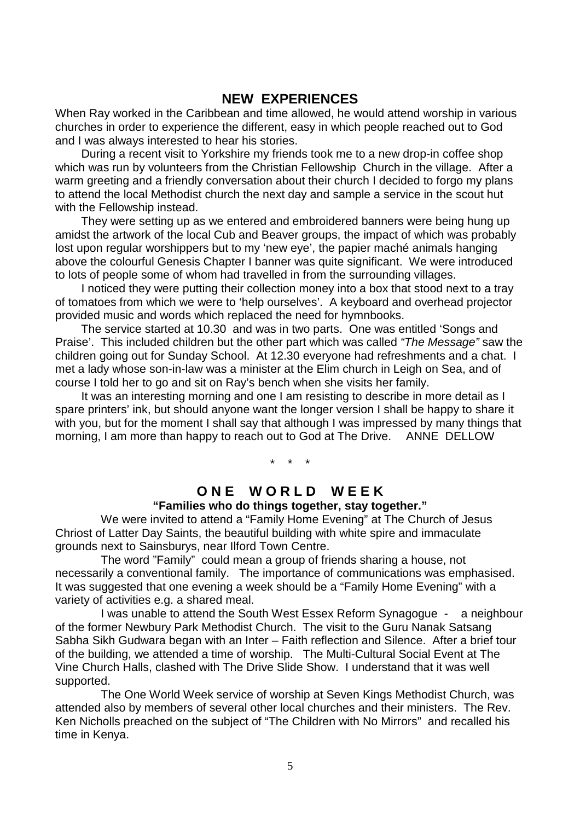#### **NEW EXPERIENCES**

When Ray worked in the Caribbean and time allowed, he would attend worship in various churches in order to experience the different, easy in which people reached out to God and I was always interested to hear his stories.

During a recent visit to Yorkshire my friends took me to a new drop-in coffee shop which was run by volunteers from the Christian Fellowship Church in the village. After a warm greeting and a friendly conversation about their church I decided to forgo my plans to attend the local Methodist church the next day and sample a service in the scout hut with the Fellowship instead.

They were setting up as we entered and embroidered banners were being hung up amidst the artwork of the local Cub and Beaver groups, the impact of which was probably lost upon regular worshippers but to my 'new eye', the papier maché animals hanging above the colourful Genesis Chapter I banner was quite significant. We were introduced to lots of people some of whom had travelled in from the surrounding villages.

I noticed they were putting their collection money into a box that stood next to a tray of tomatoes from which we were to 'help ourselves'. A keyboard and overhead projector provided music and words which replaced the need for hymnbooks.

The service started at 10.30 and was in two parts. One was entitled 'Songs and Praise'. This included children but the other part which was called *"The Message"* saw the children going out for Sunday School. At 12.30 everyone had refreshments and a chat. I met a lady whose son-in-law was a minister at the Elim church in Leigh on Sea, and of course I told her to go and sit on Ray's bench when she visits her family.

It was an interesting morning and one I am resisting to describe in more detail as I spare printers' ink, but should anyone want the longer version I shall be happy to share it with you, but for the moment I shall say that although I was impressed by many things that morning, I am more than happy to reach out to God at The Drive. ANNE DELLOW

\* \* \*

### **O N E W O R L D W E E K**

#### **"Families who do things together, stay together."**

We were invited to attend a "Family Home Evening" at The Church of Jesus Chriost of Latter Day Saints, the beautiful building with white spire and immaculate grounds next to Sainsburys, near Ilford Town Centre.

The word "Family" could mean a group of friends sharing a house, not necessarily a conventional family. The importance of communications was emphasised. It was suggested that one evening a week should be a "Family Home Evening" with a variety of activities e.g. a shared meal.

I was unable to attend the South West Essex Reform Synagogue - a neighbour of the former Newbury Park Methodist Church. The visit to the Guru Nanak Satsang Sabha Sikh Gudwara began with an Inter – Faith reflection and Silence. After a brief tour of the building, we attended a time of worship. The Multi-Cultural Social Event at The Vine Church Halls, clashed with The Drive Slide Show. I understand that it was well supported.

The One World Week service of worship at Seven Kings Methodist Church, was attended also by members of several other local churches and their ministers. The Rev. Ken Nicholls preached on the subject of "The Children with No Mirrors" and recalled his time in Kenya.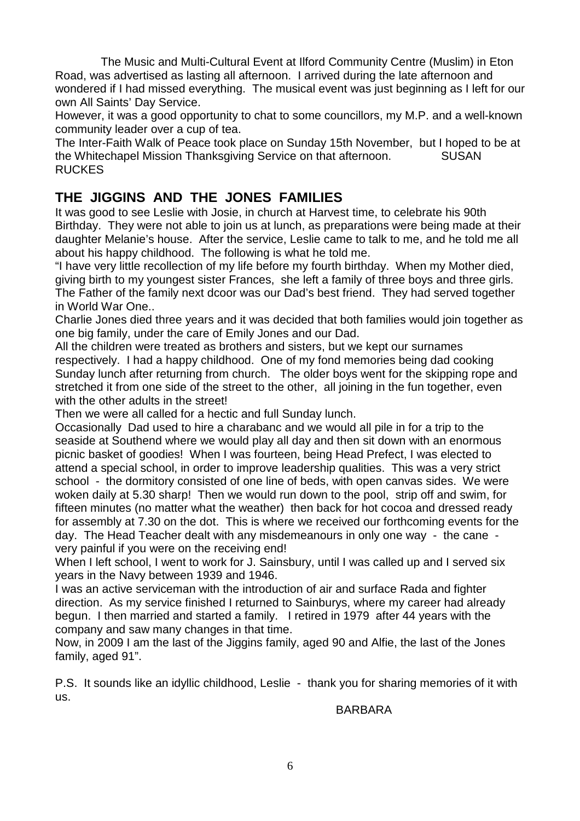The Music and Multi-Cultural Event at Ilford Community Centre (Muslim) in Eton Road, was advertised as lasting all afternoon. I arrived during the late afternoon and wondered if I had missed everything. The musical event was just beginning as I left for our own All Saints' Day Service.

However, it was a good opportunity to chat to some councillors, my M.P. and a well-known community leader over a cup of tea.

The Inter-Faith Walk of Peace took place on Sunday 15th November, but I hoped to be at the Whitechapel Mission Thanksgiving Service on that afternoon. SUSAN RUCKES

## **THE JIGGINS AND THE JONES FAMILIES**

It was good to see Leslie with Josie, in church at Harvest time, to celebrate his 90th Birthday. They were not able to join us at lunch, as preparations were being made at their daughter Melanie's house. After the service, Leslie came to talk to me, and he told me all about his happy childhood. The following is what he told me.

"I have very little recollection of my life before my fourth birthday. When my Mother died, giving birth to my youngest sister Frances, she left a family of three boys and three girls. The Father of the family next dcoor was our Dad's best friend. They had served together in World War One..

Charlie Jones died three years and it was decided that both families would join together as one big family, under the care of Emily Jones and our Dad.

All the children were treated as brothers and sisters, but we kept our surnames respectively. I had a happy childhood. One of my fond memories being dad cooking Sunday lunch after returning from church. The older boys went for the skipping rope and stretched it from one side of the street to the other, all joining in the fun together, even with the other adults in the street!

Then we were all called for a hectic and full Sunday lunch.

Occasionally Dad used to hire a charabanc and we would all pile in for a trip to the seaside at Southend where we would play all day and then sit down with an enormous picnic basket of goodies! When I was fourteen, being Head Prefect, I was elected to attend a special school, in order to improve leadership qualities. This was a very strict school - the dormitory consisted of one line of beds, with open canvas sides. We were woken daily at 5.30 sharp! Then we would run down to the pool, strip off and swim, for fifteen minutes (no matter what the weather) then back for hot cocoa and dressed ready for assembly at 7.30 on the dot. This is where we received our forthcoming events for the day. The Head Teacher dealt with any misdemeanours in only one way - the cane very painful if you were on the receiving end!

When I left school, I went to work for J. Sainsbury, until I was called up and I served six years in the Navy between 1939 and 1946.

I was an active serviceman with the introduction of air and surface Rada and fighter direction. As my service finished I returned to Sainburys, where my career had already begun. I then married and started a family. I retired in 1979 after 44 years with the company and saw many changes in that time.

Now, in 2009 I am the last of the Jiggins family, aged 90 and Alfie, the last of the Jones family, aged 91".

P.S. It sounds like an idyllic childhood, Leslie - thank you for sharing memories of it with us.

BARBARA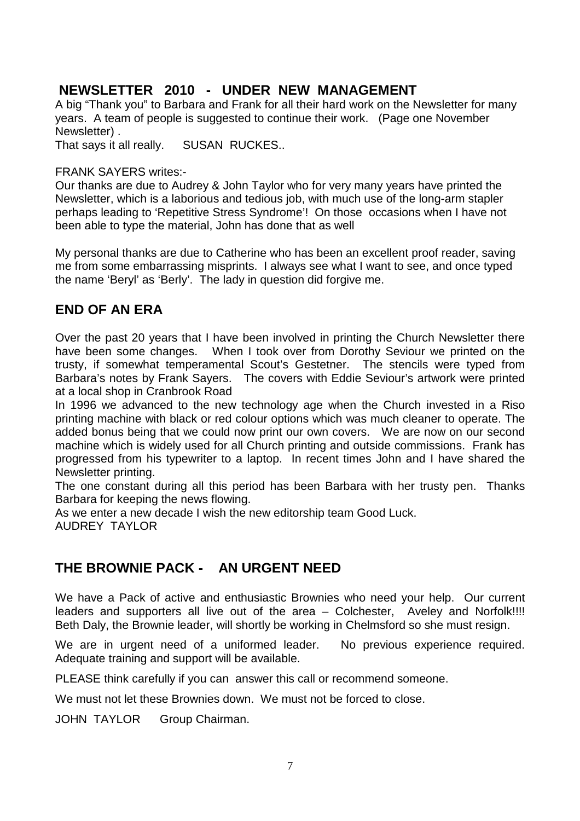## **NEWSLETTER 2010 - UNDER NEW MANAGEMENT**

A big "Thank you" to Barbara and Frank for all their hard work on the Newsletter for many years. A team of people is suggested to continue their work. (Page one November Newsletter) .

That says it all really. SUSAN RUCKES..

#### FRANK SAYERS writes:-

Our thanks are due to Audrey & John Taylor who for very many years have printed the Newsletter, which is a laborious and tedious job, with much use of the long-arm stapler perhaps leading to 'Repetitive Stress Syndrome'! On those occasions when I have not been able to type the material, John has done that as well

My personal thanks are due to Catherine who has been an excellent proof reader, saving me from some embarrassing misprints. I always see what I want to see, and once typed the name 'Beryl' as 'Berly'. The lady in question did forgive me.

#### **END OF AN ERA**

Over the past 20 years that I have been involved in printing the Church Newsletter there have been some changes. When I took over from Dorothy Seviour we printed on the trusty, if somewhat temperamental Scout's Gestetner. The stencils were typed from Barbara's notes by Frank Sayers. The covers with Eddie Seviour's artwork were printed at a local shop in Cranbrook Road

In 1996 we advanced to the new technology age when the Church invested in a Riso printing machine with black or red colour options which was much cleaner to operate. The added bonus being that we could now print our own covers. We are now on our second machine which is widely used for all Church printing and outside commissions. Frank has progressed from his typewriter to a laptop. In recent times John and I have shared the Newsletter printing.

The one constant during all this period has been Barbara with her trusty pen. Thanks Barbara for keeping the news flowing.

As we enter a new decade I wish the new editorship team Good Luck. AUDREY TAYLOR

## **THE BROWNIE PACK - AN URGENT NEED**

We have a Pack of active and enthusiastic Brownies who need your help. Our current leaders and supporters all live out of the area – Colchester, Aveley and Norfolk!!!! Beth Daly, the Brownie leader, will shortly be working in Chelmsford so she must resign.

We are in urgent need of a uniformed leader. No previous experience required. Adequate training and support will be available.

PLEASE think carefully if you can answer this call or recommend someone.

We must not let these Brownies down. We must not be forced to close.

JOHN TAYLOR Group Chairman.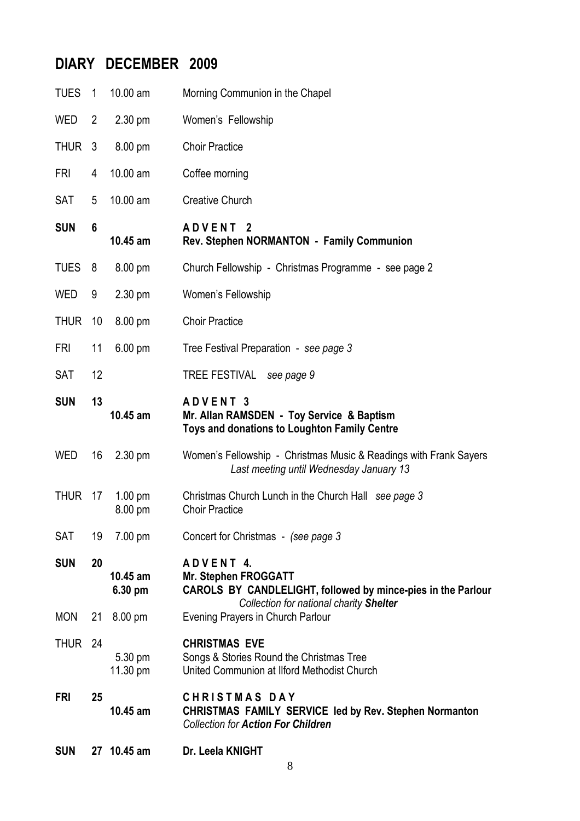# **DIARY DECEMBER 2009**

| <b>SUN</b>  |                | 27 10.45 am                  | Dr. Leela KNIGHT                                                                                                                                    |
|-------------|----------------|------------------------------|-----------------------------------------------------------------------------------------------------------------------------------------------------|
| <b>FRI</b>  | 25             | 10.45 am                     | <b>CHRISTMAS DAY</b><br><b>CHRISTMAS FAMILY SERVICE led by Rev. Stephen Normanton</b><br><b>Collection for Action For Children</b>                  |
| <b>THUR</b> | 24             | 5.30 pm<br>11.30 pm          | <b>CHRISTMAS EVE</b><br>Songs & Stories Round the Christmas Tree<br>United Communion at Ilford Methodist Church                                     |
| <b>MON</b>  |                | 21 8.00 pm                   | Evening Prayers in Church Parlour                                                                                                                   |
| <b>SUN</b>  | 20             | $10.45$ am<br>6.30 pm        | ADVENT 4.<br><b>Mr. Stephen FROGGATT</b><br>CAROLS BY CANDLELIGHT, followed by mince-pies in the Parlour<br>Collection for national charity Shelter |
| SAT         | 19             | 7.00 pm                      | Concert for Christmas - (see page 3)                                                                                                                |
| <b>THUR</b> | 17             | $1.00 \text{ pm}$<br>8.00 pm | Christmas Church Lunch in the Church Hall see page 3<br><b>Choir Practice</b>                                                                       |
| <b>WED</b>  | 16             | $2.30 \text{ pm}$            | Women's Fellowship - Christmas Music & Readings with Frank Sayers<br>Last meeting until Wednesday January 13                                        |
| <b>SUN</b>  | 13             | 10.45 am                     | ADVENT 3<br>Mr. Allan RAMSDEN - Toy Service & Baptism<br>Toys and donations to Loughton Family Centre                                               |
| <b>SAT</b>  | 12             |                              | TREE FESTIVAL see page 9                                                                                                                            |
| <b>FRI</b>  | 11             | $6.00 \text{ pm}$            | Tree Festival Preparation - see page 3                                                                                                              |
| <b>THUR</b> | 10             | 8.00 pm                      | <b>Choir Practice</b>                                                                                                                               |
| <b>WED</b>  | 9              | $2.30 \text{ pm}$            | Women's Fellowship                                                                                                                                  |
| <b>TUES</b> | 8              | 8.00 pm                      | Church Fellowship - Christmas Programme - see page 2                                                                                                |
| <b>SUN</b>  | 6              | 10.45 am                     | ADVENT <sub>2</sub><br>Rev. Stephen NORMANTON - Family Communion                                                                                    |
| <b>SAT</b>  | 5              | 10.00 am                     | <b>Creative Church</b>                                                                                                                              |
| FRI         | 4              | 10.00 am                     | Coffee morning                                                                                                                                      |
| <b>THUR</b> | 3              | 8.00 pm                      | <b>Choir Practice</b>                                                                                                                               |
| <b>WED</b>  | $\overline{2}$ | 2.30 pm                      | Women's Fellowship                                                                                                                                  |
| <b>TUES</b> | $\overline{1}$ | 10.00 am                     | Morning Communion in the Chapel                                                                                                                     |